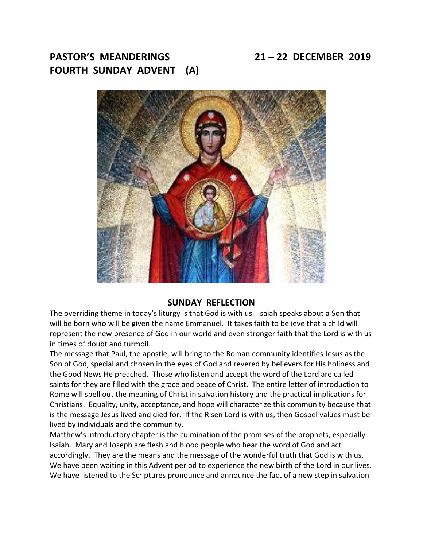**PASTOR'S MEANDERINGS 21 – 22 DECEMBER 2019 FOURTH SUNDAY ADVENT (A)**



#### **SUNDAY REFLECTION**

The overriding theme in today's liturgy is that God is with us. Isaiah speaks about a Son that will be born who will be given the name Emmanuel. It takes faith to believe that a child will represent the new presence of God in our world and even stronger faith that the Lord is with us in times of doubt and turmoil.

The message that Paul, the apostle, will bring to the Roman community identifies Jesus as the Son of God, special and chosen in the eyes of God and revered by believers for His holiness and the Good News He preached. Those who listen and accept the word of the Lord are called saints for they are filled with the grace and peace of Christ. The entire letter of introduction to Rome will spell out the meaning of Christ in salvation history and the practical implications for Christians. Equality, unity, acceptance, and hope will characterize this community because that is the message Jesus lived and died for. If the Risen Lord is with us, then Gospel values must be lived by individuals and the community.

Matthew's introductory chapter is the culmination of the promises of the prophets, especially Isaiah. Mary and Joseph are flesh and blood people who hear the word of God and act accordingly. They are the means and the message of the wonderful truth that God is with us. We have been waiting in this Advent period to experience the new birth of the Lord in our lives. We have listened to the Scriptures pronounce and announce the fact of a new step in salvation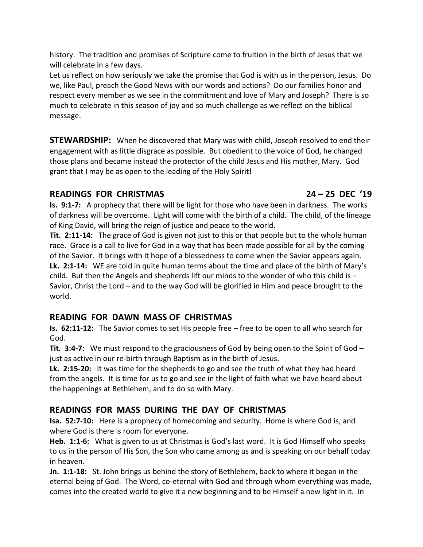history. The tradition and promises of Scripture come to fruition in the birth of Jesus that we will celebrate in a few days.

Let us reflect on how seriously we take the promise that God is with us in the person, Jesus. Do we, like Paul, preach the Good News with our words and actions? Do our families honor and respect every member as we see in the commitment and love of Mary and Joseph? There is so much to celebrate in this season of joy and so much challenge as we reflect on the biblical message.

**STEWARDSHIP:** When he discovered that Mary was with child, Joseph resolved to end their engagement with as little disgrace as possible. But obedient to the voice of God, he changed those plans and became instead the protector of the child Jesus and His mother, Mary. God grant that I may be as open to the leading of the Holy Spirit!

## **READINGS FOR CHRISTMAS 24 – 25 DEC '19**

**Is. 9:1-7:** A prophecy that there will be light for those who have been in darkness. The works of darkness will be overcome. Light will come with the birth of a child. The child, of the lineage of King David, will bring the reign of justice and peace to the world.

**Tit. 2:11-14:** The grace of God is given not just to this or that people but to the whole human race. Grace is a call to live for God in a way that has been made possible for all by the coming of the Savior. It brings with it hope of a blessedness to come when the Savior appears again. **Lk. 2:1-14:** WE are told in quite human terms about the time and place of the birth of Mary's child. But then the Angels and shepherds lift our minds to the wonder of who this child is – Savior, Christ the Lord – and to the way God will be glorified in Him and peace brought to the world.

# **READING FOR DAWN MASS OF CHRISTMAS**

**Is. 62:11-12:** The Savior comes to set His people free – free to be open to all who search for God.

**Tit. 3:4-7:** We must respond to the graciousness of God by being open to the Spirit of God – just as active in our re-birth through Baptism as in the birth of Jesus.

**Lk. 2:15-20:** It was time for the shepherds to go and see the truth of what they had heard from the angels. It is time for us to go and see in the light of faith what we have heard about the happenings at Bethlehem, and to do so with Mary.

# **READINGS FOR MASS DURING THE DAY OF CHRISTMAS**

**Isa. 52:7-10:** Here is a prophecy of homecoming and security. Home is where God is, and where God is there is room for everyone.

**Heb. 1:1-6:** What is given to us at Christmas is God's last word. It is God Himself who speaks to us in the person of His Son, the Son who came among us and is speaking on our behalf today in heaven.

**Jn. 1:1-18:** St. John brings us behind the story of Bethlehem, back to where it began in the eternal being of God. The Word, co-eternal with God and through whom everything was made, comes into the created world to give it a new beginning and to be Himself a new light in it. In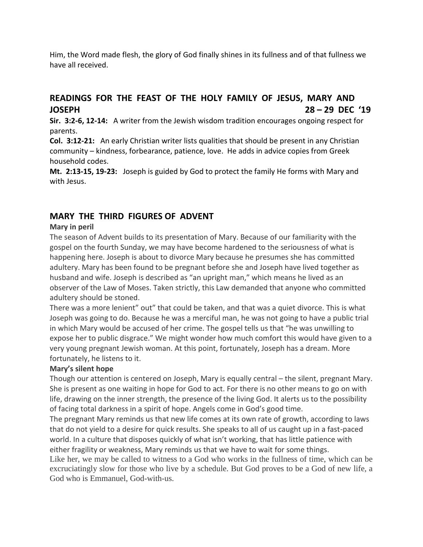Him, the Word made flesh, the glory of God finally shines in its fullness and of that fullness we have all received.

## **READINGS FOR THE FEAST OF THE HOLY FAMILY OF JESUS, MARY AND JOSEPH 28 – 29 DEC '19**

**Sir. 3:2-6, 12-14:** A writer from the Jewish wisdom tradition encourages ongoing respect for parents.

**Col. 3:12-21:** An early Christian writer lists qualities that should be present in any Christian community – kindness, forbearance, patience, love. He adds in advice copies from Greek household codes.

**Mt. 2:13-15, 19-23:** Joseph is guided by God to protect the family He forms with Mary and with Jesus.

## **MARY THE THIRD FIGURES OF ADVENT**

## **Mary in peril**

The season of Advent builds to its presentation of Mary. Because of our familiarity with the gospel on the fourth Sunday, we may have become hardened to the seriousness of what is happening here. Joseph is about to divorce Mary because he presumes she has committed adultery. Mary has been found to be pregnant before she and Joseph have lived together as husband and wife. Joseph is described as "an upright man," which means he lived as an observer of the Law of Moses. Taken strictly, this Law demanded that anyone who committed adultery should be stoned.

There was a more lenient" out" that could be taken, and that was a quiet divorce. This is what Joseph was going to do. Because he was a merciful man, he was not going to have a public trial in which Mary would be accused of her crime. The gospel tells us that "he was unwilling to expose her to public disgrace." We might wonder how much comfort this would have given to a very young pregnant Jewish woman. At this point, fortunately, Joseph has a dream. More fortunately, he listens to it.

## **Mary's silent hope**

Though our attention is centered on Joseph, Mary is equally central – the silent, pregnant Mary. She is present as one waiting in hope for God to act. For there is no other means to go on with life, drawing on the inner strength, the presence of the living God. It alerts us to the possibility of facing total darkness in a spirit of hope. Angels come in God's good time.

The pregnant Mary reminds us that new life comes at its own rate of growth, according to laws that do not yield to a desire for quick results. She speaks to all of us caught up in a fast-paced world. In a culture that disposes quickly of what isn't working, that has little patience with either fragility or weakness, Mary reminds us that we have to wait for some things.

Like her, we may be called to witness to a God who works in the fullness of time, which can be excruciatingly slow for those who live by a schedule. But God proves to be a God of new life, a God who is Emmanuel, God-with-us.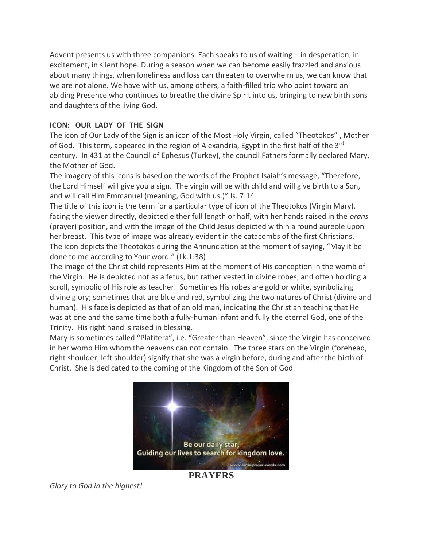Advent presents us with three companions. Each speaks to us of waiting – in desperation, in excitement, in silent hope. During a season when we can become easily frazzled and anxious about many things, when loneliness and loss can threaten to overwhelm us, we can know that we are not alone. We have with us, among others, a faith-filled trio who point toward an abiding Presence who continues to breathe the divine Spirit into us, bringing to new birth sons and daughters of the living God.

### **ICON: OUR LADY OF THE SIGN**

The icon of Our Lady of the Sign is an icon of the Most Holy Virgin, called "Theotokos" , Mother of God. This term, appeared in the region of Alexandria, Egypt in the first half of the 3<sup>rd</sup> century. In 431 at the Council of Ephesus (Turkey), the council Fathers formally declared Mary, the Mother of God.

The imagery of this icons is based on the words of the Prophet Isaiah's message, "Therefore, the Lord Himself will give you a sign. The virgin will be with child and will give birth to a Son, and will call Him Emmanuel (meaning, God with us.)" Is. 7:14

The title of this icon is the term for a particular type of icon of the Theotokos (Virgin Mary), facing the viewer directly, depicted either full length or half, with her hands raised in the *orans* (prayer) position, and with the image of the Child Jesus depicted within a round aureole upon her breast. This type of image was already evident in the catacombs of the first Christians. The icon depicts the Theotokos during the Annunciation at the moment of saying, "May it be done to me according to Your word." (Lk.1:38)

The image of the Christ child represents Him at the moment of His conception in the womb of the Virgin. He is depicted not as a fetus, but rather vested in divine robes, and often holding a scroll, symbolic of His role as teacher. Sometimes His robes are gold or white, symbolizing divine glory; sometimes that are blue and red, symbolizing the two natures of Christ (divine and human). His face is depicted as that of an old man, indicating the Christian teaching that He was at one and the same time both a fully-human infant and fully the eternal God, one of the Trinity. His right hand is raised in blessing.

Mary is sometimes called "Platitera", i.e. "Greater than Heaven", since the Virgin has conceived in her womb Him whom the heavens can not contain. The three stars on the Virgin (forehead, right shoulder, left shoulder) signify that she was a virgin before, during and after the birth of Christ. She is dedicated to the coming of the Kingdom of the Son of God.



**PRAYERS**

*Glory to God in the highest!*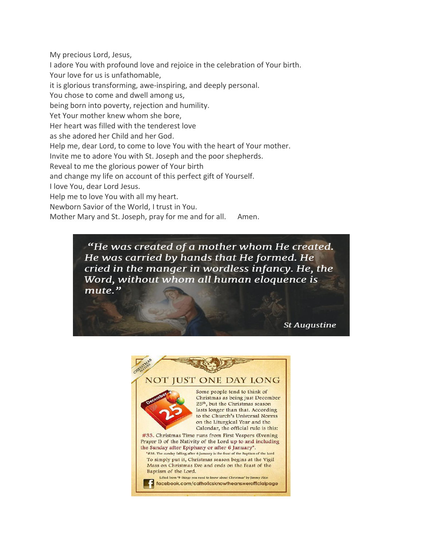My precious Lord, Jesus, I adore You with profound love and rejoice in the celebration of Your birth. Your love for us is unfathomable, it is glorious transforming, awe-inspiring, and deeply personal. You chose to come and dwell among us, being born into poverty, rejection and humility. Yet Your mother knew whom she bore, Her heart was filled with the tenderest love as she adored her Child and her God. Help me, dear Lord, to come to love You with the heart of Your mother. Invite me to adore You with St. Joseph and the poor shepherds. Reveal to me the glorious power of Your birth and change my life on account of this perfect gift of Yourself. I love You, dear Lord Jesus. Help me to love You with all my heart. Newborn Savior of the World, I trust in You. Mother Mary and St. Joseph, pray for me and for all. Amen.

> "He was created of a mother whom He created. He was carried by hands that He formed. He cried in the manger in wordless infancy. He, the Word, without whom all human eloquence is mute."

> > **St Augustine**